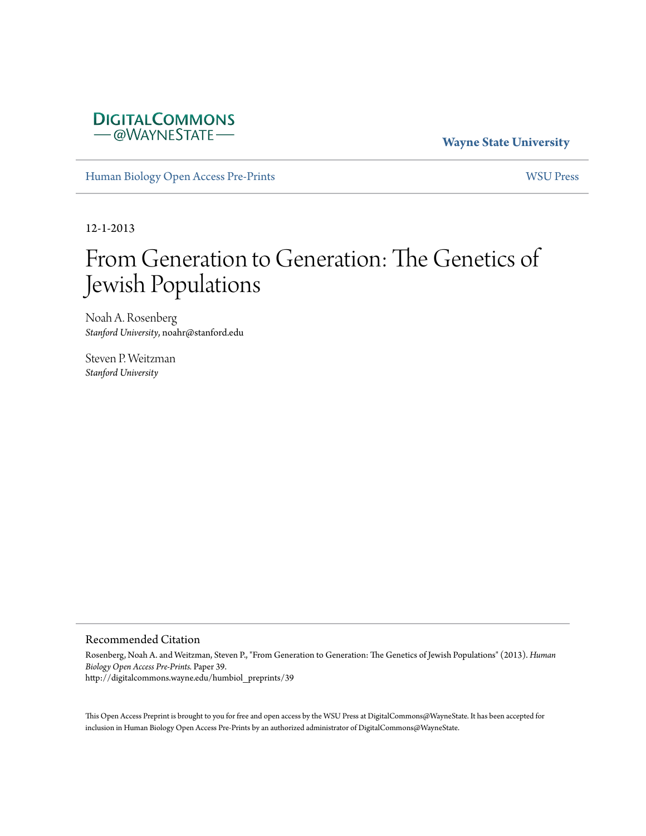

**Wayne State University**

[Human Biology Open Access Pre-Prints](http://digitalcommons.wayne.edu/humbiol_preprints) [WSU Press](http://digitalcommons.wayne.edu/wsupress)

12-1-2013

# From Generation to Generation: The Genetics of Jewish Populations

Noah A. Rosenberg *Stanford University*, noahr@stanford.edu

Steven P. Weitzman *Stanford University*

#### Recommended Citation

Rosenberg, Noah A. and Weitzman, Steven P., "From Generation to Generation: The Genetics of Jewish Populations" (2013). *Human Biology Open Access Pre-Prints.* Paper 39. http://digitalcommons.wayne.edu/humbiol\_preprints/39

This Open Access Preprint is brought to you for free and open access by the WSU Press at DigitalCommons@WayneState. It has been accepted for inclusion in Human Biology Open Access Pre-Prints by an authorized administrator of DigitalCommons@WayneState.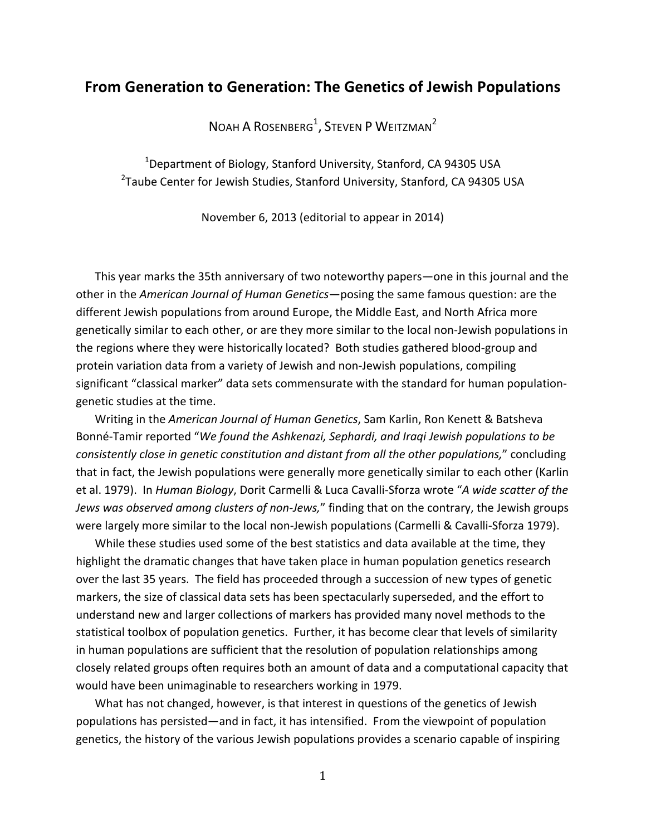## **From Generation to Generation: The Genetics of Jewish Populations**

NOAH A ROSENBERG $^1$ , Steven P Weitzman<sup>2</sup>

 $^{1}$ Department of Biology, Stanford University, Stanford, CA 94305 USA <sup>2</sup>Taube Center for Jewish Studies, Stanford University, Stanford, CA 94305 USA

November 6, 2013 (editorial to appear in 2014)

This year marks the 35th anniversary of two noteworthy papers—one in this journal and the other in the *American Journal of Human Genetics*—posing the same famous question: are the different Jewish populations from around Europe, the Middle East, and North Africa more genetically similar to each other, or are they more similar to the local non-Jewish populations in the regions where they were historically located? Both studies gathered blood-group and protein variation data from a variety of Jewish and non-Jewish populations, compiling significant "classical marker" data sets commensurate with the standard for human populationgenetic studies at the time.

Writing in the *American Journal of Human Genetics*, Sam Karlin, Ron Kenett & Batsheva Bonné-Tamir reported "We found the Ashkenazi, Sephardi, and Iraqi Jewish populations to be consistently close in genetic constitution and distant from all the other populations," concluding that in fact, the Jewish populations were generally more genetically similar to each other (Karlin et al. 1979). In *Human Biology*, Dorit Carmelli & Luca Cavalli-Sforza wrote "A wide scatter of the *Jews was observed among clusters of non-Jews,"* finding that on the contrary, the Jewish groups were largely more similar to the local non-Jewish populations (Carmelli & Cavalli-Sforza 1979).

While these studies used some of the best statistics and data available at the time, they highlight the dramatic changes that have taken place in human population genetics research over the last 35 years. The field has proceeded through a succession of new types of genetic markers, the size of classical data sets has been spectacularly superseded, and the effort to understand new and larger collections of markers has provided many novel methods to the statistical toolbox of population genetics. Further, it has become clear that levels of similarity in human populations are sufficient that the resolution of population relationships among closely related groups often requires both an amount of data and a computational capacity that would have been unimaginable to researchers working in 1979.

What has not changed, however, is that interest in questions of the genetics of Jewish populations has persisted—and in fact, it has intensified. From the viewpoint of population genetics, the history of the various Jewish populations provides a scenario capable of inspiring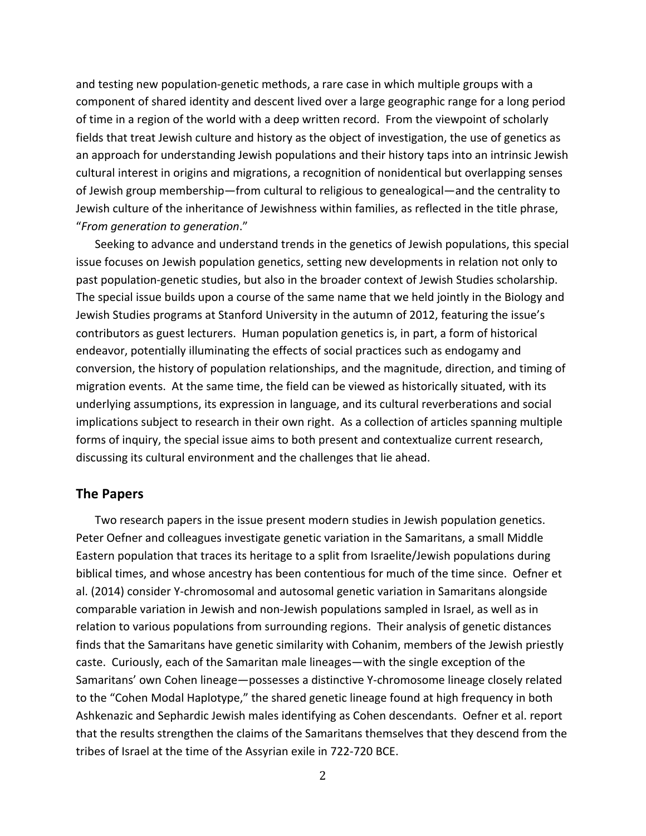and testing new population-genetic methods, a rare case in which multiple groups with a component of shared identity and descent lived over a large geographic range for a long period of time in a region of the world with a deep written record. From the viewpoint of scholarly fields that treat Jewish culture and history as the object of investigation, the use of genetics as an approach for understanding Jewish populations and their history taps into an intrinsic Jewish cultural interest in origins and migrations, a recognition of nonidentical but overlapping senses of Jewish group membership—from cultural to religious to genealogical—and the centrality to Jewish culture of the inheritance of Jewishness within families, as reflected in the title phrase, "From generation to generation."

Seeking to advance and understand trends in the genetics of Jewish populations, this special issue focuses on Jewish population genetics, setting new developments in relation not only to past population-genetic studies, but also in the broader context of Jewish Studies scholarship. The special issue builds upon a course of the same name that we held jointly in the Biology and Jewish Studies programs at Stanford University in the autumn of 2012, featuring the issue's contributors as guest lecturers. Human population genetics is, in part, a form of historical endeavor, potentially illuminating the effects of social practices such as endogamy and conversion, the history of population relationships, and the magnitude, direction, and timing of migration events. At the same time, the field can be viewed as historically situated, with its underlying assumptions, its expression in language, and its cultural reverberations and social implications subject to research in their own right. As a collection of articles spanning multiple forms of inquiry, the special issue aims to both present and contextualize current research, discussing its cultural environment and the challenges that lie ahead.

## **The%Papers**

Two research papers in the issue present modern studies in Jewish population genetics. Peter Oefner and colleagues investigate genetic variation in the Samaritans, a small Middle Eastern population that traces its heritage to a split from Israelite/Jewish populations during biblical times, and whose ancestry has been contentious for much of the time since. Oefner et al. (2014) consider Y-chromosomal and autosomal genetic variation in Samaritans alongside comparable variation in Jewish and non-Jewish populations sampled in Israel, as well as in relation to various populations from surrounding regions. Their analysis of genetic distances finds that the Samaritans have genetic similarity with Cohanim, members of the Jewish priestly caste. Curiously, each of the Samaritan male lineages—with the single exception of the Samaritans' own Cohen lineage—possesses a distinctive Y-chromosome lineage closely related to the "Cohen Modal Haplotype," the shared genetic lineage found at high frequency in both Ashkenazic and Sephardic Jewish males identifying as Cohen descendants. Oefner et al. report that the results strengthen the claims of the Samaritans themselves that they descend from the tribes of Israel at the time of the Assyrian exile in 722-720 BCE.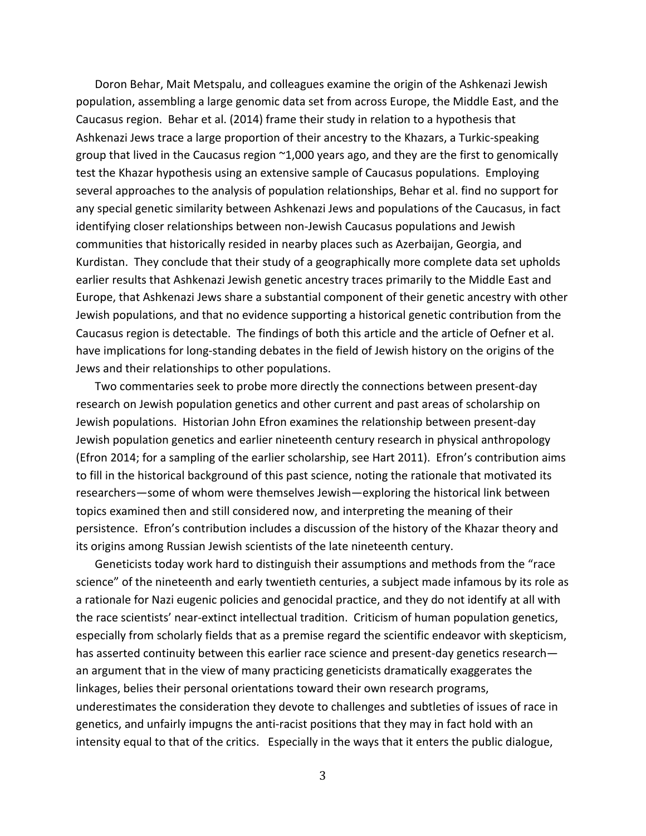Doron Behar, Mait Metspalu, and colleagues examine the origin of the Ashkenazi Jewish population, assembling a large genomic data set from across Europe, the Middle East, and the Caucasus region. Behar et al. (2014) frame their study in relation to a hypothesis that Ashkenazi Jews trace a large proportion of their ancestry to the Khazars, a Turkic-speaking group that lived in the Caucasus region  $~1,000$  years ago, and they are the first to genomically test the Khazar hypothesis using an extensive sample of Caucasus populations. Employing several approaches to the analysis of population relationships, Behar et al. find no support for any special genetic similarity between Ashkenazi Jews and populations of the Caucasus, in fact identifying closer relationships between non-Jewish Caucasus populations and Jewish communities that historically resided in nearby places such as Azerbaijan, Georgia, and Kurdistan. They conclude that their study of a geographically more complete data set upholds earlier results that Ashkenazi Jewish genetic ancestry traces primarily to the Middle East and Europe, that Ashkenazi Jews share a substantial component of their genetic ancestry with other Jewish populations, and that no evidence supporting a historical genetic contribution from the Caucasus region is detectable. The findings of both this article and the article of Oefner et al. have implications for long-standing debates in the field of Jewish history on the origins of the Jews and their relationships to other populations.

Two commentaries seek to probe more directly the connections between present-day research on Jewish population genetics and other current and past areas of scholarship on Jewish populations. Historian John Efron examines the relationship between present-day Jewish population genetics and earlier nineteenth century research in physical anthropology (Efron 2014; for a sampling of the earlier scholarship, see Hart 2011). Efron's contribution aims to fill in the historical background of this past science, noting the rationale that motivated its researchers—some of whom were themselves Jewish—exploring the historical link between topics examined then and still considered now, and interpreting the meaning of their persistence. Efron's contribution includes a discussion of the history of the Khazar theory and its origins among Russian Jewish scientists of the late nineteenth century.

Geneticists today work hard to distinguish their assumptions and methods from the "race" science" of the nineteenth and early twentieth centuries, a subject made infamous by its role as a rationale for Nazi eugenic policies and genocidal practice, and they do not identify at all with the race scientists' near-extinct intellectual tradition. Criticism of human population genetics, especially from scholarly fields that as a premise regard the scientific endeavor with skepticism, has asserted continuity between this earlier race science and present-day genetics research an argument that in the view of many practicing geneticists dramatically exaggerates the linkages, belies their personal orientations toward their own research programs, underestimates the consideration they devote to challenges and subtleties of issues of race in genetics, and unfairly impugns the anti-racist positions that they may in fact hold with an intensity equal to that of the critics. Especially in the ways that it enters the public dialogue,

3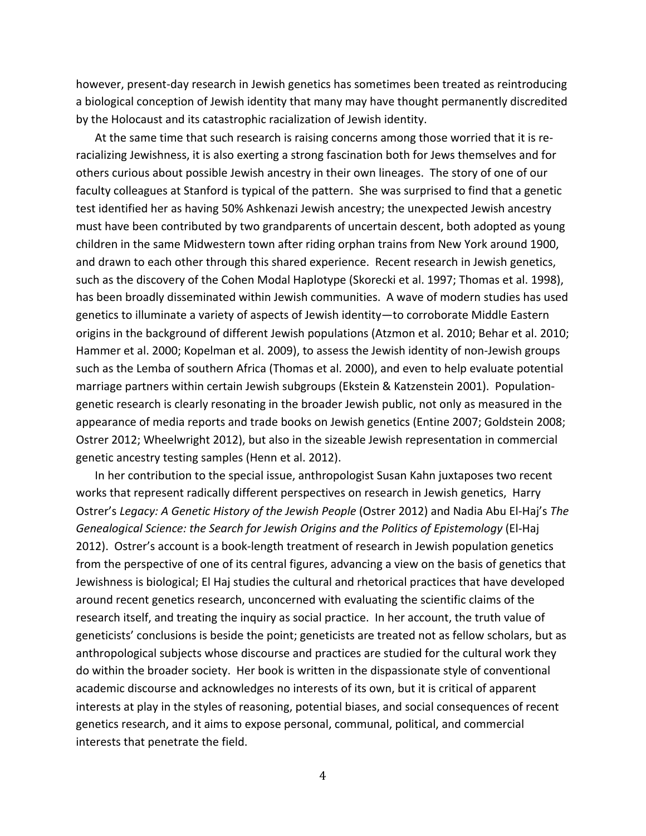however, present-day research in Jewish genetics has sometimes been treated as reintroducing a biological conception of Jewish identity that many may have thought permanently discredited by the Holocaust and its catastrophic racialization of Jewish identity.

At the same time that such research is raising concerns among those worried that it is reracializing Jewishness, it is also exerting a strong fascination both for Jews themselves and for others curious about possible Jewish ancestry in their own lineages. The story of one of our faculty colleagues at Stanford is typical of the pattern. She was surprised to find that a genetic test identified her as having 50% Ashkenazi Jewish ancestry; the unexpected Jewish ancestry must have been contributed by two grandparents of uncertain descent, both adopted as young children in the same Midwestern town after riding orphan trains from New York around 1900, and drawn to each other through this shared experience. Recent research in Jewish genetics, such as the discovery of the Cohen Modal Haplotype (Skorecki et al. 1997; Thomas et al. 1998), has been broadly disseminated within Jewish communities. A wave of modern studies has used genetics to illuminate a variety of aspects of Jewish identity—to corroborate Middle Eastern origins in the background of different Jewish populations (Atzmon et al. 2010; Behar et al. 2010; Hammer et al. 2000; Kopelman et al. 2009), to assess the Jewish identity of non-Jewish groups such as the Lemba of southern Africa (Thomas et al. 2000), and even to help evaluate potential marriage partners within certain Jewish subgroups (Ekstein & Katzenstein 2001). Populationgenetic research is clearly resonating in the broader Jewish public, not only as measured in the appearance of media reports and trade books on Jewish genetics (Entine 2007; Goldstein 2008; Ostrer 2012; Wheelwright 2012), but also in the sizeable Jewish representation in commercial genetic ancestry testing samples (Henn et al. 2012).

In her contribution to the special issue, anthropologist Susan Kahn juxtaposes two recent works that represent radically different perspectives on research in Jewish genetics, Harry Ostrer's Legacy: A Genetic History of the Jewish People (Ostrer 2012) and Nadia Abu El-Haj's The *Genealogical Science: the Search for Jewish Origins and the Politics of Epistemology* (El-Haj 2012). Ostrer's account is a book-length treatment of research in Jewish population genetics from the perspective of one of its central figures, advancing a view on the basis of genetics that Jewishness is biological; El Haj studies the cultural and rhetorical practices that have developed around recent genetics research, unconcerned with evaluating the scientific claims of the research itself, and treating the inquiry as social practice. In her account, the truth value of geneticists' conclusions is beside the point; geneticists are treated not as fellow scholars, but as anthropological subjects whose discourse and practices are studied for the cultural work they do within the broader society. Her book is written in the dispassionate style of conventional academic discourse and acknowledges no interests of its own, but it is critical of apparent interests at play in the styles of reasoning, potential biases, and social consequences of recent genetics research, and it aims to expose personal, communal, political, and commercial interests that penetrate the field.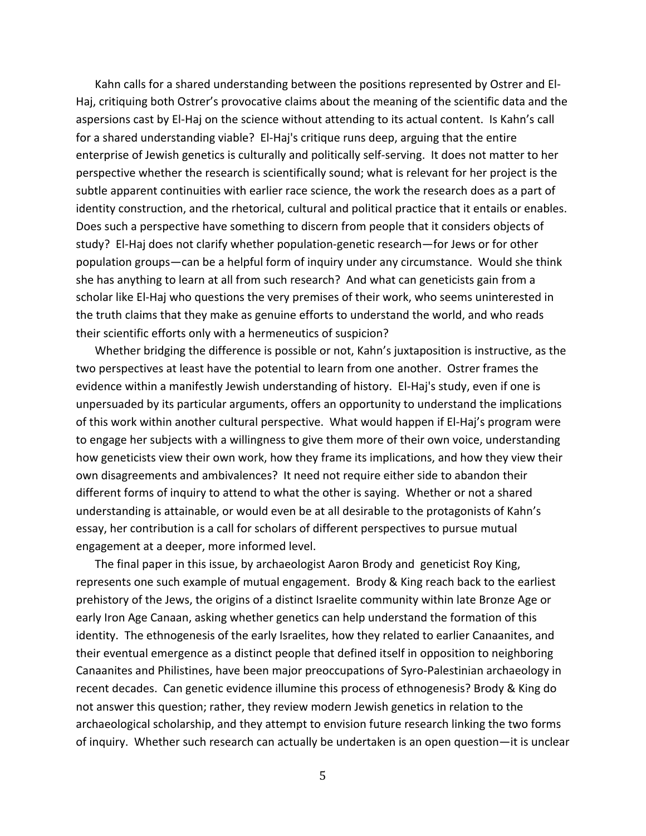Kahn calls for a shared understanding between the positions represented by Ostrer and El-Haj, critiquing both Ostrer's provocative claims about the meaning of the scientific data and the aspersions cast by El-Haj on the science without attending to its actual content. Is Kahn's call for a shared understanding viable? El-Haj's critique runs deep, arguing that the entire enterprise of Jewish genetics is culturally and politically self-serving. It does not matter to her perspective whether the research is scientifically sound; what is relevant for her project is the subtle apparent continuities with earlier race science, the work the research does as a part of identity construction, and the rhetorical, cultural and political practice that it entails or enables. Does such a perspective have something to discern from people that it considers objects of study? El-Haj does not clarify whether population-genetic research—for Jews or for other population groups—can be a helpful form of inquiry under any circumstance. Would she think she has anything to learn at all from such research? And what can geneticists gain from a scholar like El-Haj who questions the very premises of their work, who seems uninterested in the truth claims that they make as genuine efforts to understand the world, and who reads their scientific efforts only with a hermeneutics of suspicion?

Whether bridging the difference is possible or not, Kahn's juxtaposition is instructive, as the two perspectives at least have the potential to learn from one another. Ostrer frames the evidence within a manifestly Jewish understanding of history. El-Haj's study, even if one is unpersuaded by its particular arguments, offers an opportunity to understand the implications of this work within another cultural perspective. What would happen if El-Haj's program were to engage her subjects with a willingness to give them more of their own voice, understanding how geneticists view their own work, how they frame its implications, and how they view their own disagreements and ambivalences? It need not require either side to abandon their different forms of inquiry to attend to what the other is saying. Whether or not a shared understanding is attainable, or would even be at all desirable to the protagonists of Kahn's essay, her contribution is a call for scholars of different perspectives to pursue mutual engagement at a deeper, more informed level.

The final paper in this issue, by archaeologist Aaron Brody and geneticist Roy King, represents one such example of mutual engagement. Brody & King reach back to the earliest prehistory of the Jews, the origins of a distinct Israelite community within late Bronze Age or early Iron Age Canaan, asking whether genetics can help understand the formation of this identity. The ethnogenesis of the early Israelites, how they related to earlier Canaanites, and their eventual emergence as a distinct people that defined itself in opposition to neighboring Canaanites and Philistines, have been major preoccupations of Syro-Palestinian archaeology in recent decades. Can genetic evidence illumine this process of ethnogenesis? Brody & King do not answer this question; rather, they review modern Jewish genetics in relation to the archaeological scholarship, and they attempt to envision future research linking the two forms of inquiry. Whether such research can actually be undertaken is an open question—it is unclear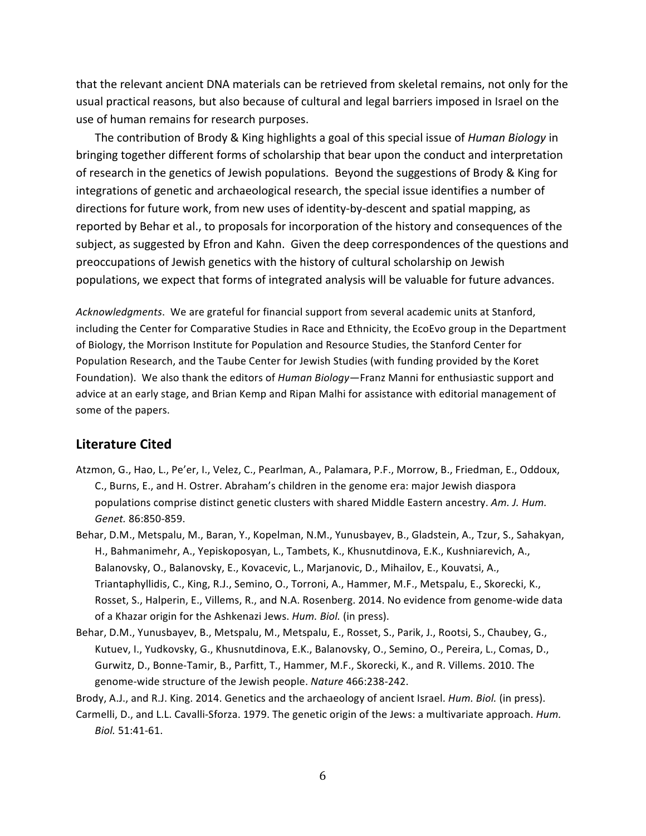that the relevant ancient DNA materials can be retrieved from skeletal remains, not only for the usual practical reasons, but also because of cultural and legal barriers imposed in Israel on the use of human remains for research purposes.

The contribution of Brody & King highlights a goal of this special issue of *Human Biology* in bringing together different forms of scholarship that bear upon the conduct and interpretation of research in the genetics of Jewish populations. Beyond the suggestions of Brody & King for integrations of genetic and archaeological research, the special issue identifies a number of directions for future work, from new uses of identity-by-descent and spatial mapping, as reported by Behar et al., to proposals for incorporation of the history and consequences of the subject, as suggested by Efron and Kahn. Given the deep correspondences of the questions and preoccupations of Jewish genetics with the history of cultural scholarship on Jewish populations, we expect that forms of integrated analysis will be valuable for future advances.

Acknowledgments. We are grateful for financial support from several academic units at Stanford, including the Center for Comparative Studies in Race and Ethnicity, the EcoEvo group in the Department of Biology, the Morrison Institute for Population and Resource Studies, the Stanford Center for Population Research, and the Taube Center for Jewish Studies (with funding provided by the Koret Foundation). We also thank the editors of *Human Biology*—Franz Manni for enthusiastic support and advice at an early stage, and Brian Kemp and Ripan Malhi for assistance with editorial management of some of the papers.

### **Literature%Cited**

- Atzmon, G., Hao, L., Pe'er, I., Velez, C., Pearlman, A., Palamara, P.F., Morrow, B., Friedman, E., Oddoux, C., Burns, E., and H. Ostrer. Abraham's children in the genome era: major Jewish diaspora populations comprise distinct genetic clusters with shared Middle Eastern ancestry. Am. J. Hum. *Genet.* 86:850-859.
- Behar, D.M., Metspalu, M., Baran, Y., Kopelman, N.M., Yunusbayev, B., Gladstein, A., Tzur, S., Sahakyan, H., Bahmanimehr, A., Yepiskoposyan, L., Tambets, K., Khusnutdinova, E.K., Kushniarevich, A., Balanovsky, O., Balanovsky, E., Kovacevic, L., Marjanovic, D., Mihailov, E., Kouvatsi, A., Triantaphyllidis, C., King, R.J., Semino, O., Torroni, A., Hammer, M.F., Metspalu, E., Skorecki, K., Rosset, S., Halperin, E., Villems, R., and N.A. Rosenberg. 2014. No evidence from genome-wide data of a Khazar origin for the Ashkenazi Jews. *Hum. Biol.* (in press).
- Behar, D.M., Yunusbayev, B., Metspalu, M., Metspalu, E., Rosset, S., Parik, J., Rootsi, S., Chaubey, G., Kutuev, I., Yudkovsky, G., Khusnutdinova, E.K., Balanovsky, O., Semino, O., Pereira, L., Comas, D., Gurwitz, D., Bonne-Tamir, B., Parfitt, T., Hammer, M.F., Skorecki, K., and R. Villems. 2010. The genome-wide structure of the Jewish people. *Nature* 466:238-242.

Brody, A.J., and R.J. King. 2014. Genetics and the archaeology of ancient Israel. *Hum. Biol.* (in press).

Carmelli, D., and L.L. Cavalli-Sforza. 1979. The genetic origin of the Jews: a multivariate approach. *Hum. Biol.* 51:41-61.